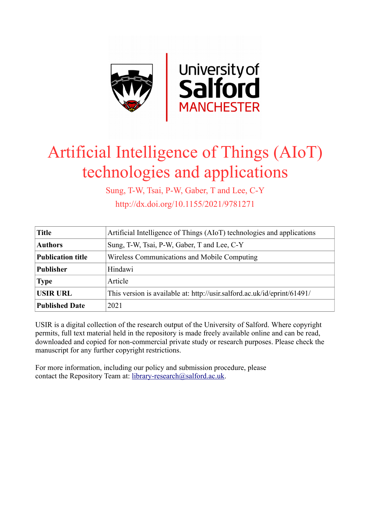

## Artificial Intelligence of Things (AIoT) technologies and applications

Sung, T-W, Tsai, P-W, Gaber, T and Lee, C-Y http://dx.doi.org/10.1155/2021/9781271

| <b>Title</b>             | Artificial Intelligence of Things (AIoT) technologies and applications   |
|--------------------------|--------------------------------------------------------------------------|
| <b>Authors</b>           | Sung, T-W, Tsai, P-W, Gaber, T and Lee, C-Y                              |
| <b>Publication title</b> | Wireless Communications and Mobile Computing                             |
| <b>Publisher</b>         | Hindawi                                                                  |
| <b>Type</b>              | Article                                                                  |
| <b>USIR URL</b>          | This version is available at: http://usir.salford.ac.uk/id/eprint/61491/ |
| <b>Published Date</b>    | 2021                                                                     |

USIR is a digital collection of the research output of the University of Salford. Where copyright permits, full text material held in the repository is made freely available online and can be read, downloaded and copied for non-commercial private study or research purposes. Please check the manuscript for any further copyright restrictions.

For more information, including our policy and submission procedure, please contact the Repository Team at: [library-research@salford.ac.uk.](mailto:library-research@salford.ac.uk)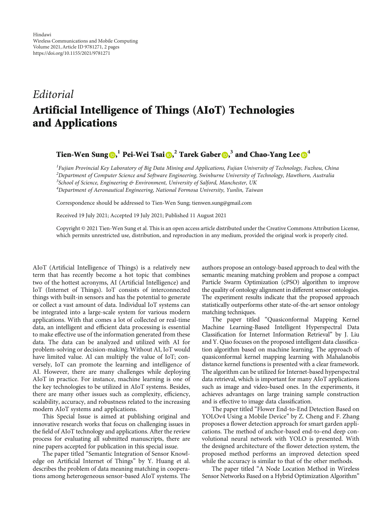## Editorial Artificial Intelligence of Things (AIoT) Technologies and Applications

## $\text{Tien-Wen Sung}\textcircled{\tiny{\textcircled{\tiny{R}}}}^1$  Pei-Wei Tsai $\textcircled{\tiny{\textcircled{\tiny{R}}}}^2$  Tarek Gaber  $\textcircled{\tiny{\textcircled{\tiny{R}}}}^3$  and Chao-Yang Lee  $\textcircled{\tiny{\textcircled{\tiny{R}}}}^4$

<sup>1</sup> Fujian Provincial Key Laboratory of Big Data Mining and Applications, Fujian University of Technology, Fuzhou, China <sup>2</sup>Department of Computer Science and Software Engineering, Swinburne University of Technology, Hawthorn, Australia <sup>3</sup>School of Science, Engineering & Environment, University of Salford, Manchester, UK 4 Department of Aeronautical Engineering, National Formosa University, Yunlin, Taiwan

Correspondence should be addressed to Tien-Wen Sung; tienwen.sung@gmail.com

Received 19 July 2021; Accepted 19 July 2021; Published 11 August 2021

Copyright © 2021 Tien-Wen Sung et al. This is an open access article distributed under the [Creative Commons Attribution License,](https://creativecommons.org/licenses/by/4.0/) which permits unrestricted use, distribution, and reproduction in any medium, provided the original work is properly cited.

AIoT (Artificial Intelligence of Things) is a relatively new term that has recently become a hot topic that combines two of the hottest acronyms, AI (Artificial Intelligence) and IoT (Internet of Things). IoT consists of interconnected things with built-in sensors and has the potential to generate or collect a vast amount of data. Individual IoT systems can be integrated into a large-scale system for various modern applications. With that comes a lot of collected or real-time data, an intelligent and efficient data processing is essential to make effective use of the information generated from these data. The data can be analyzed and utilized with AI for problem-solving or decision-making. Without AI, IoT would have limited value. AI can multiply the value of IoT; conversely, IoT can promote the learning and intelligence of AI. However, there are many challenges while deploying AIoT in practice. For instance, machine learning is one of the key technologies to be utilized in AIoT systems. Besides, there are many other issues such as complexity, efficiency, scalability, accuracy, and robustness related to the increasing modern AIoT systems and applications.

This Special Issue is aimed at publishing original and innovative research works that focus on challenging issues in the field of AIoT technology and applications. After the review process for evaluating all submitted manuscripts, there are nine papers accepted for publication in this special issue.

The paper titled "Semantic Integration of Sensor Knowledge on Artificial Internet of Things" by Y. Huang et al. describes the problem of data meaning matching in cooperations among heterogeneous sensor-based AIoT systems. The authors propose an ontology-based approach to deal with the semantic meaning matching problem and propose a compact Particle Swarm Optimization (cPSO) algorithm to improve the quality of ontology alignment in different sensor ontologies. The experiment results indicate that the proposed approach statistically outperforms other state-of-the-art sensor ontology matching techniques.

The paper titled "Quasiconformal Mapping Kernel Machine Learning-Based Intelligent Hyperspectral Data Classification for Internet Information Retrieval" by J. Liu and Y. Qiao focuses on the proposed intelligent data classification algorithm based on machine learning. The approach of quasiconformal kernel mapping learning with Mahalanobis distance kernel functions is presented with a clear framework. The algorithm can be utilized for Internet-based hyperspectral data retrieval, which is important for many AIoT applications such as image and video-based ones. In the experiments, it achieves advantages on large training sample construction and is effective to image data classification.

The paper titled "Flower End-to-End Detection Based on YOLOv4 Using a Mobile Device" by Z. Cheng and F. Zhang proposes a flower detection approach for smart garden applications. The method of anchor-based end-to-end deep convolutional neural network with YOLO is presented. With the designed architecture of the flower detection system, the proposed method performs an improved detection speed while the accuracy is similar to that of the other methods.

The paper titled "A Node Location Method in Wireless Sensor Networks Based on a Hybrid Optimization Algorithm"